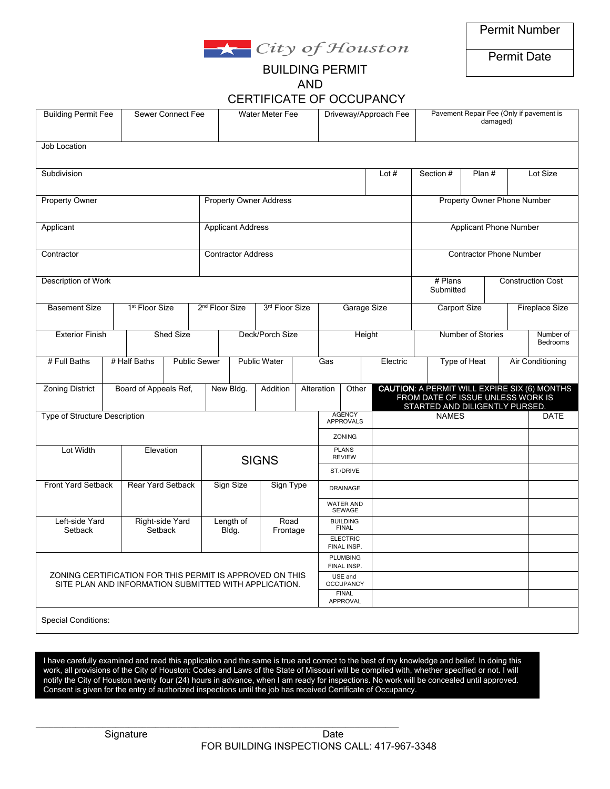

Permit Date

## BUILDING PERMIT AND

| <b>CERTIFICATE OF OCCUPANCY</b> |  |
|---------------------------------|--|
|---------------------------------|--|

| <b>Building Permit Fee</b>                                                                                        |           | Sewer Connect Fee             |                     |                 | Water Meter Fee            |  |                             | Driveway/Approach Fee           |                                         | Pavement Repair Fee (Only if pavement is<br>damaged) |                     |                                                                    |                                                     |                          |                         |             |
|-------------------------------------------------------------------------------------------------------------------|-----------|-------------------------------|---------------------|-----------------|----------------------------|--|-----------------------------|---------------------------------|-----------------------------------------|------------------------------------------------------|---------------------|--------------------------------------------------------------------|-----------------------------------------------------|--------------------------|-------------------------|-------------|
| Job Location                                                                                                      |           |                               |                     |                 |                            |  |                             |                                 |                                         |                                                      |                     |                                                                    |                                                     |                          |                         |             |
| Subdivision                                                                                                       |           |                               |                     |                 |                            |  |                             |                                 |                                         |                                                      | Lot $#$             |                                                                    | Section #<br>Plan #                                 |                          |                         | Lot Size    |
| Property Owner                                                                                                    |           | <b>Property Owner Address</b> |                     |                 |                            |  |                             | Property Owner Phone Number     |                                         |                                                      |                     |                                                                    |                                                     |                          |                         |             |
| Applicant                                                                                                         |           |                               |                     |                 | <b>Applicant Address</b>   |  |                             |                                 |                                         | <b>Applicant Phone Number</b>                        |                     |                                                                    |                                                     |                          |                         |             |
| Contractor                                                                                                        |           |                               |                     |                 | Contractor Address         |  |                             |                                 |                                         | <b>Contractor Phone Number</b>                       |                     |                                                                    |                                                     |                          |                         |             |
| Description of Work                                                                                               |           |                               |                     |                 |                            |  |                             |                                 |                                         |                                                      |                     | # Plans<br>Submitted                                               |                                                     | <b>Construction Cost</b> |                         |             |
| <b>Basement Size</b>                                                                                              |           | 1 <sup>st</sup> Floor Size    |                     |                 | 2 <sup>nd</sup> Floor Size |  | 3rd Floor Size              |                                 | Garage Size                             |                                                      | <b>Carport Size</b> |                                                                    | <b>Fireplace Size</b>                               |                          |                         |             |
| <b>Exterior Finish</b>                                                                                            | Shed Size |                               |                     | Deck/Porch Size |                            |  |                             | Height                          |                                         | Number of Stories                                    |                     |                                                                    | Number of<br>Bedrooms                               |                          |                         |             |
| # Full Baths                                                                                                      |           | # Half Baths                  | <b>Public Sewer</b> |                 |                            |  | Public Water                |                                 | Gas                                     |                                                      | Electric            |                                                                    | Type of Heat                                        |                          | <b>Air Conditioning</b> |             |
| Zoning District                                                                                                   |           | Board of Appeals Ref,         |                     |                 | New Bldg.<br>Addition      |  |                             |                                 | Alteration<br>Other                     |                                                      |                     | FROM DATE OF ISSUE UNLESS WORK IS<br>STARTED AND DILIGENTLY PURSED | <b>CAUTION: A PERMIT WILL EXPIRE SIX (6) MONTHS</b> |                          |                         |             |
| Type of Structure Description                                                                                     |           |                               |                     |                 |                            |  |                             |                                 |                                         | <b>AGENCY</b><br><b>APPROVALS</b>                    |                     | <b>NAMES</b>                                                       |                                                     |                          |                         | <b>DATE</b> |
| Lot Width<br>Elevation                                                                                            |           |                               |                     |                 | <b>SIGNS</b>               |  |                             |                                 | ZONING<br><b>PLANS</b><br><b>REVIEW</b> |                                                      |                     |                                                                    |                                                     |                          |                         |             |
|                                                                                                                   |           |                               |                     |                 |                            |  |                             |                                 | ST./DRIVE                               |                                                      |                     |                                                                    |                                                     |                          |                         |             |
| Front Yard Setback                                                                                                |           | Rear Yard Setback             |                     |                 | Sign Size                  |  | Sign Type                   |                                 | <b>DRAINAGE</b>                         |                                                      |                     |                                                                    |                                                     |                          |                         |             |
|                                                                                                                   |           |                               |                     |                 |                            |  |                             |                                 | <b>WATER AND</b><br>SEWAGE              |                                                      |                     |                                                                    |                                                     |                          |                         |             |
| Left-side Yard<br>Setback                                                                                         |           | Right-side Yard<br>Setback    |                     |                 | Length of<br>Bldg.         |  | Road<br>Frontage            |                                 | BUILDING<br>FINAL                       |                                                      |                     |                                                                    |                                                     |                          |                         |             |
|                                                                                                                   |           |                               |                     |                 |                            |  |                             |                                 | <b>ELECTRIC</b><br>FINAL INSP.          |                                                      |                     |                                                                    |                                                     |                          |                         |             |
|                                                                                                                   |           |                               |                     |                 |                            |  |                             |                                 |                                         | <b>PLUMBING</b><br>FINAL INSP.                       |                     |                                                                    |                                                     |                          |                         |             |
| ZONING CERTIFICATION FOR THIS PERMIT IS APPROVED ON THIS<br>SITE PLAN AND INFORMATION SUBMITTED WITH APPLICATION. |           |                               |                     |                 |                            |  | USE and<br><b>OCCUPANCY</b> |                                 |                                         |                                                      |                     |                                                                    |                                                     |                          |                         |             |
|                                                                                                                   |           |                               |                     |                 |                            |  |                             | <b>FINAL</b><br><b>APPROVAL</b> |                                         |                                                      |                     |                                                                    |                                                     |                          |                         |             |
| <b>Special Conditions:</b>                                                                                        |           |                               |                     |                 |                            |  |                             |                                 |                                         |                                                      |                     |                                                                    |                                                     |                          |                         |             |

- notify the City of Houston twenty four (24) hours in advance, when I am ready for inspections. No work will be concealed until approved. I have carefully examined and read this application and the same is true and correct to the best of my knowledge and belief. In doing this work, all provisions of the City of Houston: Codes and Laws of the State of Missouri will be complied with, whether specified or not. I will Consent is given for the entry of authorized inspections until the job has received Certificate of Occupancy.

\_\_\_\_\_\_\_\_\_\_\_\_\_\_\_\_\_\_\_\_\_\_\_\_\_\_\_\_\_\_\_\_\_\_\_\_\_\_\_\_\_\_\_\_\_\_\_\_\_\_\_\_\_\_\_\_\_\_\_\_\_\_\_\_\_\_\_\_\_\_\_\_\_\_\_\_\_\_\_\_\_\_